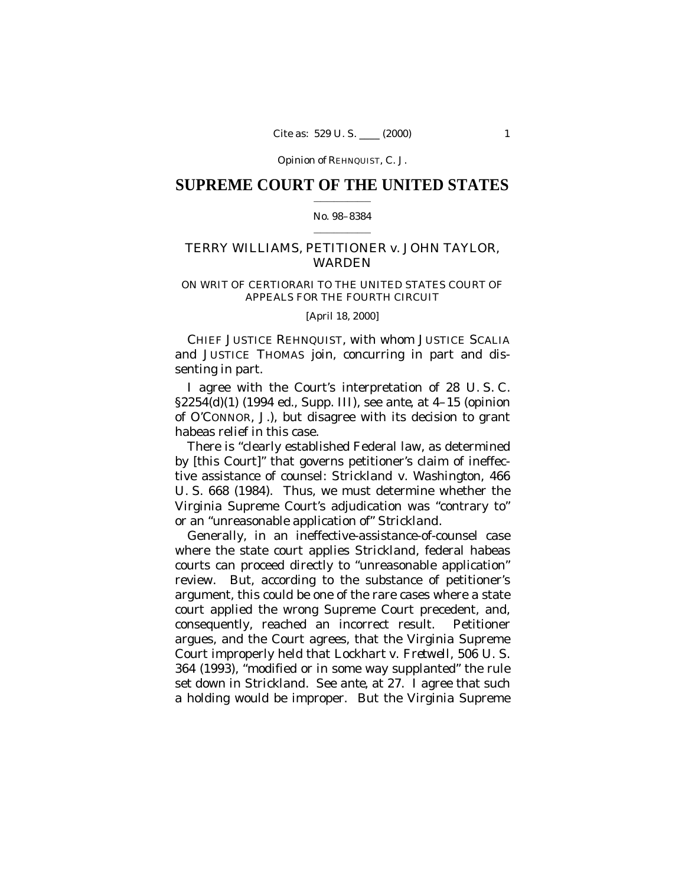Opinion of REHNQUIST, C. J.

## **SUPREME COURT OF THE UNITED STATES**  $\mathcal{L}_\text{max}$  and  $\mathcal{L}_\text{max}$

## No. 98–8384  $\mathcal{L}_\text{max}$  and  $\mathcal{L}_\text{max}$

# TERRY WILLIAMS, PETITIONER *v.* JOHN TAYLOR, WARDEN

## ON WRIT OF CERTIORARI TO THE UNITED STATES COURT OF APPEALS FOR THE FOURTH CIRCUIT

[April 18, 2000]

CHIEF JUSTICE REHNQUIST, with whom JUSTICE SCALIA and JUSTICE THOMAS join, concurring in part and dissenting in part.

I agree with the Court's interpretation of 28 U. S. C. §2254(d)(1) (1994 ed., Supp. III), see *ante*, at 4–15 (opinion of O'CONNOR, J.), but disagree with its decision to grant habeas relief in this case.

There is "clearly established Federal law, as determined by [this Court]" that governs petitioner's claim of ineffective assistance of counsel: *Strickland* v. *Washington,* 466 U. S. 668 (1984). Thus, we must determine whether the Virginia Supreme Court's adjudication was "contrary to" or an "unreasonable application of" *Strickland*.

Generally, in an ineffective-assistance-of-counsel case where the state court applies *Strickland*, federal habeas courts can proceed directly to "unreasonable application" review. But, according to the substance of petitioner's argument, this could be one of the rare cases where a state court applied the wrong Supreme Court precedent, and, consequently, reached an incorrect result. Petitioner argues, and the Court agrees, that the Virginia Supreme Court improperly held that *Lockhart* v. *Fretwell,* 506 U. S. 364 (1993), "modified or in some way supplanted" the rule set down in *Strickland*. See *ante*, at 27. I agree that such a holding would be improper. But the Virginia Supreme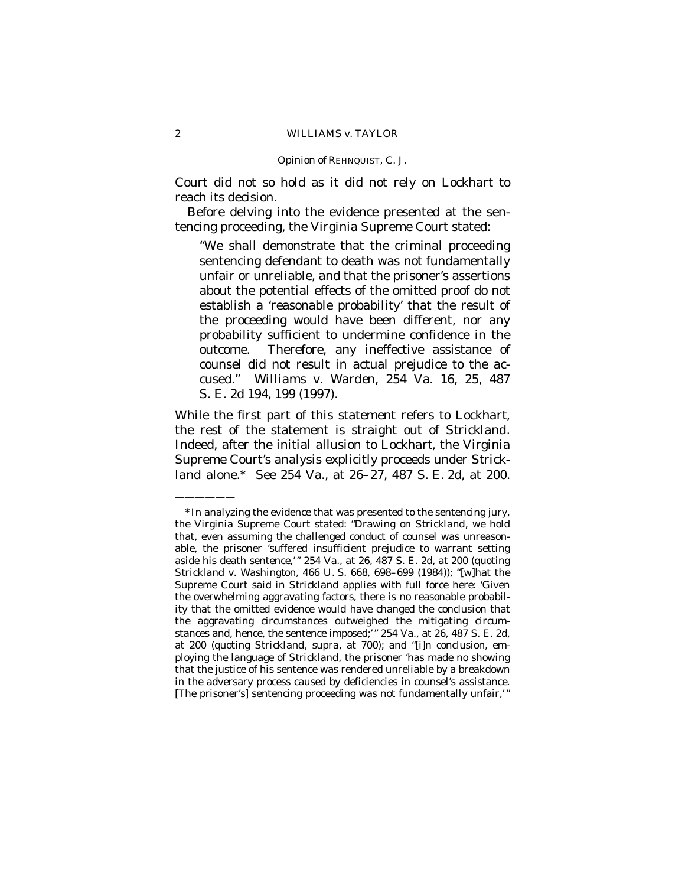#### Opinion of REHNQUIST, C. J.

Court did not so hold as it did not rely on *Lockhart* to reach its decision.

Before delving into the evidence presented at the sentencing proceeding, the Virginia Supreme Court stated:

"We shall demonstrate that the criminal proceeding sentencing defendant to death was not fundamentally unfair or unreliable, and that the prisoner's assertions about the potential effects of the omitted proof do not establish a 'reasonable probability' that the result of the proceeding would have been different, nor any probability sufficient to undermine confidence in the outcome. Therefore, any ineffective assistance of counsel did not result in actual prejudice to the accused." *Williams* v. *Warden,* 254 Va. 16, 25, 487 S. E. 2d 194, 199 (1997).

While the first part of this statement refers to *Lockhart*, the rest of the statement is straight out of *Strickland*. Indeed, after the initial allusion to *Lockhart*, the Virginia Supreme Court's analysis explicitly proceeds under *Strickland* alone.\* See 254 Va., at 26–27, 487 S. E. 2d, at 200.

——————

<sup>\*</sup>In analyzing the evidence that was presented to the sentencing jury, the Virginia Supreme Court stated: "Drawing on *Strickland*, we hold that, even assuming the challenged conduct of counsel was unreasonable, the prisoner 'suffered insufficient prejudice to warrant setting aside his death sentence,'" 254 Va., at 26, 487 S. E. 2d, at 200 (quoting *Strickland* v. *Washington*, 466 U. S. 668, 698–699 (1984)); "[w]hat the Supreme Court said in *Strickland* applies with full force here: 'Given the overwhelming aggravating factors, there is no reasonable probability that the omitted evidence would have changed the conclusion that the aggravating circumstances outweighed the mitigating circumstances and, hence, the sentence imposed;'" 254 Va.*,* at 26, 487 S. E. 2d, at 200 (quoting *Strickland, supra,* at 700); and "[i]n conclusion, employing the language of *Strickland*, the prisoner 'has made no showing that the justice of his sentence was rendered unreliable by a breakdown in the adversary process caused by deficiencies in counsel's assistance. [The prisoner's] sentencing proceeding was not fundamentally unfair,'"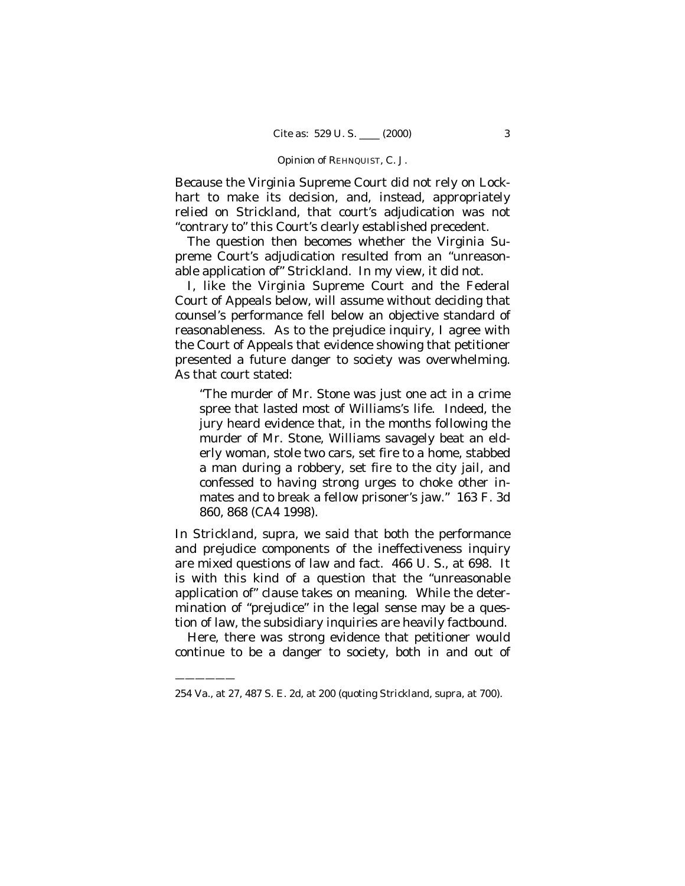#### Opinion of REHNQUIST, C. J.

Because the Virginia Supreme Court did not rely on *Lockhart* to make its decision, and, instead, appropriately relied on *Strickland*, that court's adjudication was not "contrary to" this Court's clearly established precedent.

The question then becomes whether the Virginia Supreme Court's adjudication resulted from an "unreasonable application of" *Strickland*. In my view, it did not.

I, like the Virginia Supreme Court and the Federal Court of Appeals below, will assume without deciding that counsel's performance fell below an objective standard of reasonableness. As to the prejudice inquiry, I agree with the Court of Appeals that evidence showing that petitioner presented a future danger to society was overwhelming. As that court stated:

"The murder of Mr. Stone was just one act in a crime spree that lasted most of Williams's life. Indeed, the jury heard evidence that, in the months following the murder of Mr. Stone, Williams savagely beat an elderly woman, stole two cars, set fire to a home, stabbed a man during a robbery, set fire to the city jail, and confessed to having strong urges to choke other inmates and to break a fellow prisoner's jaw." 163 F. 3d 860, 868 (CA4 1998).

In *Strickland*, *supra*, we said that both the performance and prejudice components of the ineffectiveness inquiry are mixed questions of law and fact. 466 U. S., at 698. It is with this kind of a question that the "unreasonable application of" clause takes on meaning. While the determination of "prejudice" in the legal sense may be a question of law, the subsidiary inquiries are heavily factbound.

Here, there was strong evidence that petitioner would continue to be a danger to society, both in and out of

——————

<sup>254</sup> Va.*,* at 27, 487 S. E. 2d, at 200 (quoting *Strickland, supra,* at 700).